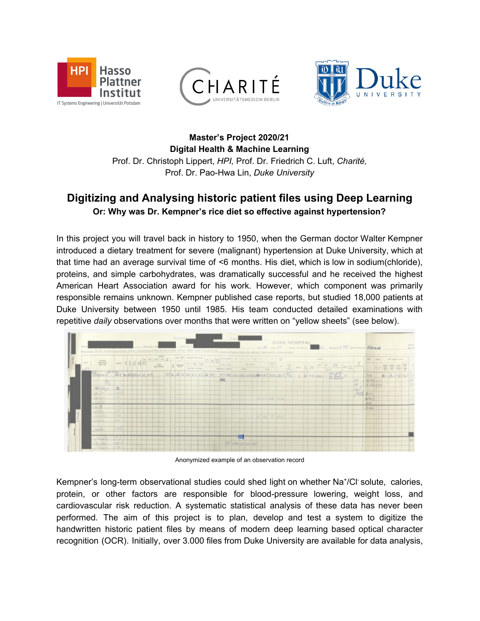





**Master's Project 2020/21 Digital Health & Machine Learning** Prof. Dr. Christoph Lippert, *HPI,* Prof. Dr. Friedrich C. Luft, *Charité,* Prof. Dr. Pao-Hwa Lin, *Duke University*

## **Digitizing and Analysing historic patient files using Deep Learning Or: Why was Dr. Kempner's rice diet so effective against hypertension?**

In this project you will travel back in history to 1950, when the German doctor Walter Kempner introduced a dietary treatment for severe (malignant) hypertension at Duke University, which at that time had an average survival time of <6 months. His diet, which is low in sodium(chloride), proteins, and simple carbohydrates, was dramatically successful and he received the highest American Heart Association award for his work. However, which component was primarily responsible remains unknown. Kempner published case reports, but studied 18,000 patients at Duke University between 1950 until 1985. His team conducted detailed examinations with repetitive *daily* observations over months that were written on "yellow sheets" (see below).



Anonymized example of an observation record

Kempner's long-term observational studies could shed light on whether Na<sup>+</sup>/Cl<sup>-</sup>solute, calories, protein, or other factors are responsible for blood-pressure lowering, weight loss, and cardiovascular risk reduction. A systematic statistical analysis of these data has never been performed. The aim of this project is to plan, develop and test a system to digitize the handwritten historic patient files by means of modern deep learning based optical character recognition (OCR). Initially, over 3.000 files from Duke University are available for data analysis,